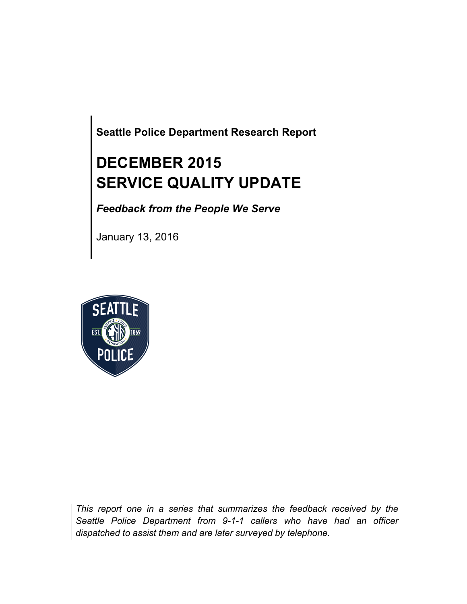**Seattle Police Department Research Report**

# **DECEMBER 2015 SERVICE QUALITY UPDATE**

*Feedback from the People We Serve*

January 13, 2016



*This report one in a series that summarizes the feedback received by the Seattle Police Department from 9-1-1 callers who have had an officer dispatched to assist them and are later surveyed by telephone.*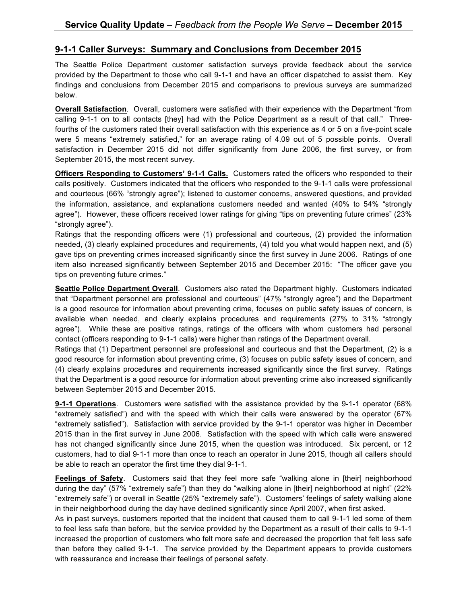#### **9-1-1 Caller Surveys: Summary and Conclusions from December 2015**

The Seattle Police Department customer satisfaction surveys provide feedback about the service provided by the Department to those who call 9-1-1 and have an officer dispatched to assist them. Key findings and conclusions from December 2015 and comparisons to previous surveys are summarized below.

**Overall Satisfaction**. Overall, customers were satisfied with their experience with the Department "from calling 9-1-1 on to all contacts [they] had with the Police Department as a result of that call." Threefourths of the customers rated their overall satisfaction with this experience as 4 or 5 on a five-point scale were 5 means "extremely satisfied," for an average rating of 4.09 out of 5 possible points. Overall satisfaction in December 2015 did not differ significantly from June 2006, the first survey, or from September 2015, the most recent survey.

**Officers Responding to Customers' 9-1-1 Calls.** Customers rated the officers who responded to their calls positively. Customers indicated that the officers who responded to the 9-1-1 calls were professional and courteous (66% "strongly agree"); listened to customer concerns, answered questions, and provided the information, assistance, and explanations customers needed and wanted (40% to 54% "strongly agree"). However, these officers received lower ratings for giving "tips on preventing future crimes" (23% "strongly agree").

Ratings that the responding officers were (1) professional and courteous, (2) provided the information needed, (3) clearly explained procedures and requirements, (4) told you what would happen next, and (5) gave tips on preventing crimes increased significantly since the first survey in June 2006. Ratings of one item also increased significantly between September 2015 and December 2015: "The officer gave you tips on preventing future crimes."

**Seattle Police Department Overall**. Customers also rated the Department highly. Customers indicated that "Department personnel are professional and courteous" (47% "strongly agree") and the Department is a good resource for information about preventing crime, focuses on public safety issues of concern, is available when needed, and clearly explains procedures and requirements (27% to 31% "strongly agree"). While these are positive ratings, ratings of the officers with whom customers had personal contact (officers responding to 9-1-1 calls) were higher than ratings of the Department overall.

Ratings that (1) Department personnel are professional and courteous and that the Department, (2) is a good resource for information about preventing crime, (3) focuses on public safety issues of concern, and (4) clearly explains procedures and requirements increased significantly since the first survey. Ratings that the Department is a good resource for information about preventing crime also increased significantly between September 2015 and December 2015.

**9-1-1 Operations**. Customers were satisfied with the assistance provided by the 9-1-1 operator (68% "extremely satisfied") and with the speed with which their calls were answered by the operator (67% "extremely satisfied"). Satisfaction with service provided by the 9-1-1 operator was higher in December 2015 than in the first survey in June 2006. Satisfaction with the speed with which calls were answered has not changed significantly since June 2015, when the question was introduced. Six percent, or 12 customers, had to dial 9-1-1 more than once to reach an operator in June 2015, though all callers should be able to reach an operator the first time they dial 9-1-1.

**Feelings of Safety**. Customers said that they feel more safe "walking alone in [their] neighborhood during the day" (57% "extremely safe") than they do "walking alone in [their] neighborhood at night" (22% "extremely safe") or overall in Seattle (25% "extremely safe"). Customers' feelings of safety walking alone in their neighborhood during the day have declined significantly since April 2007, when first asked.

As in past surveys, customers reported that the incident that caused them to call 9-1-1 led some of them to feel less safe than before, but the service provided by the Department as a result of their calls to 9-1-1 increased the proportion of customers who felt more safe and decreased the proportion that felt less safe than before they called 9-1-1. The service provided by the Department appears to provide customers with reassurance and increase their feelings of personal safety.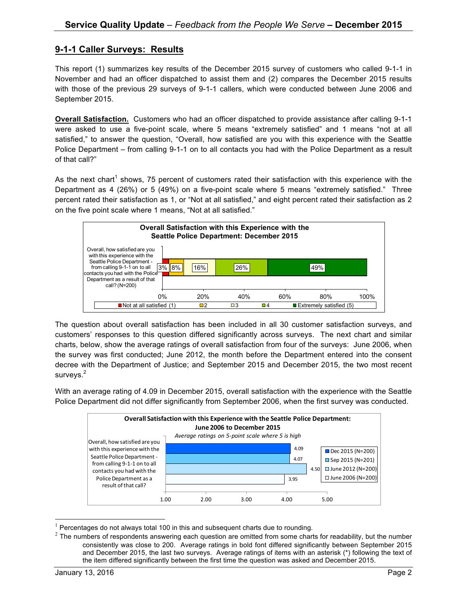### **9-1-1 Caller Surveys: Results**

This report (1) summarizes key results of the December 2015 survey of customers who called 9-1-1 in November and had an officer dispatched to assist them and (2) compares the December 2015 results with those of the previous 29 surveys of 9-1-1 callers, which were conducted between June 2006 and September 2015.

**Overall Satisfaction.** Customers who had an officer dispatched to provide assistance after calling 9-1-1 were asked to use a five-point scale, where 5 means "extremely satisfied" and 1 means "not at all satisfied," to answer the question, "Overall, how satisfied are you with this experience with the Seattle Police Department – from calling 9-1-1 on to all contacts you had with the Police Department as a result of that call?"

As the next chart<sup>1</sup> shows, 75 percent of customers rated their satisfaction with this experience with the Department as 4 (26%) or 5 (49%) on a five-point scale where 5 means "extremely satisfied." Three percent rated their satisfaction as 1, or "Not at all satisfied," and eight percent rated their satisfaction as 2 on the five point scale where 1 means, "Not at all satisfied."



The question about overall satisfaction has been included in all 30 customer satisfaction surveys, and customers' responses to this question differed significantly across surveys. The next chart and similar charts, below, show the average ratings of overall satisfaction from four of the surveys: June 2006, when the survey was first conducted; June 2012, the month before the Department entered into the consent decree with the Department of Justice; and September 2015 and December 2015, the two most recent surveys. $^{2}$ 

With an average rating of 4.09 in December 2015, overall satisfaction with the experience with the Seattle Police Department did not differ significantly from September 2006, when the first survey was conducted.



 $1$  Percentages do not always total 100 in this and subsequent charts due to rounding.

 $2$  The numbers of respondents answering each question are omitted from some charts for readability, but the number consistently was close to 200. Average ratings in bold font differed significantly between September 2015 and December 2015, the last two surveys. Average ratings of items with an asterisk (\*) following the text of the item differed significantly between the first time the question was asked and December 2015.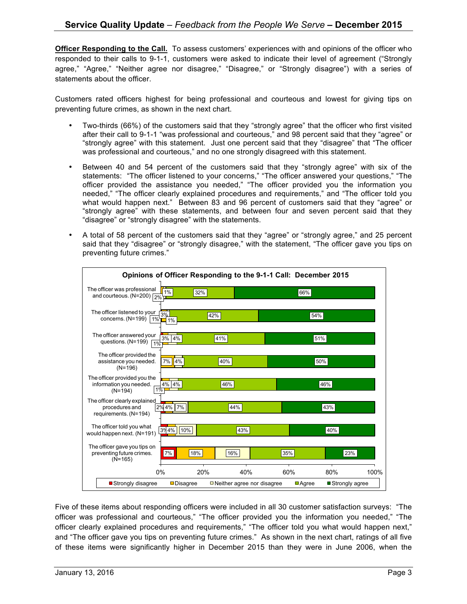**Officer Responding to the Call.** To assess customers' experiences with and opinions of the officer who responded to their calls to 9-1-1, customers were asked to indicate their level of agreement ("Strongly agree," "Agree," "Neither agree nor disagree," "Disagree," or "Strongly disagree") with a series of statements about the officer.

Customers rated officers highest for being professional and courteous and lowest for giving tips on preventing future crimes, as shown in the next chart.

- Two-thirds (66%) of the customers said that they "strongly agree" that the officer who first visited after their call to 9-1-1 "was professional and courteous," and 98 percent said that they "agree" or "strongly agree" with this statement. Just one percent said that they "disagree" that "The officer was professional and courteous," and no one strongly disagreed with this statement.
- Between 40 and 54 percent of the customers said that they "strongly agree" with six of the statements: "The officer listened to your concerns," "The officer answered your questions," "The officer provided the assistance you needed," "The officer provided you the information you needed," "The officer clearly explained procedures and requirements," and "The officer told you what would happen next." Between 83 and 96 percent of customers said that they "agree" or "strongly agree" with these statements, and between four and seven percent said that they "disagree" or "strongly disagree" with the statements.
- A total of 58 percent of the customers said that they "agree" or "strongly agree," and 25 percent said that they "disagree" or "strongly disagree," with the statement, "The officer gave you tips on preventing future crimes."



Five of these items about responding officers were included in all 30 customer satisfaction surveys: "The officer was professional and courteous," "The officer provided you the information you needed," "The officer clearly explained procedures and requirements," "The officer told you what would happen next," and "The officer gave you tips on preventing future crimes." As shown in the next chart, ratings of all five of these items were significantly higher in December 2015 than they were in June 2006, when the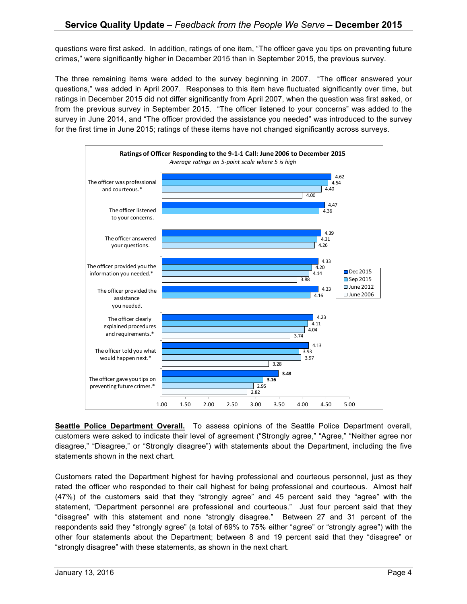questions were first asked. In addition, ratings of one item, "The officer gave you tips on preventing future crimes," were significantly higher in December 2015 than in September 2015, the previous survey.

The three remaining items were added to the survey beginning in 2007. "The officer answered your questions," was added in April 2007. Responses to this item have fluctuated significantly over time, but ratings in December 2015 did not differ significantly from April 2007, when the question was first asked, or from the previous survey in September 2015. "The officer listened to your concerns" was added to the survey in June 2014, and "The officer provided the assistance you needed" was introduced to the survey for the first time in June 2015; ratings of these items have not changed significantly across surveys.



**Seattle Police Department Overall.** To assess opinions of the Seattle Police Department overall, customers were asked to indicate their level of agreement ("Strongly agree," "Agree," "Neither agree nor disagree," "Disagree," or "Strongly disagree") with statements about the Department, including the five statements shown in the next chart.

Customers rated the Department highest for having professional and courteous personnel, just as they rated the officer who responded to their call highest for being professional and courteous. Almost half (47%) of the customers said that they "strongly agree" and 45 percent said they "agree" with the statement, "Department personnel are professional and courteous." Just four percent said that they "disagree" with this statement and none "strongly disagree." Between 27 and 31 percent of the respondents said they "strongly agree" (a total of 69% to 75% either "agree" or "strongly agree") with the other four statements about the Department; between 8 and 19 percent said that they "disagree" or "strongly disagree" with these statements, as shown in the next chart.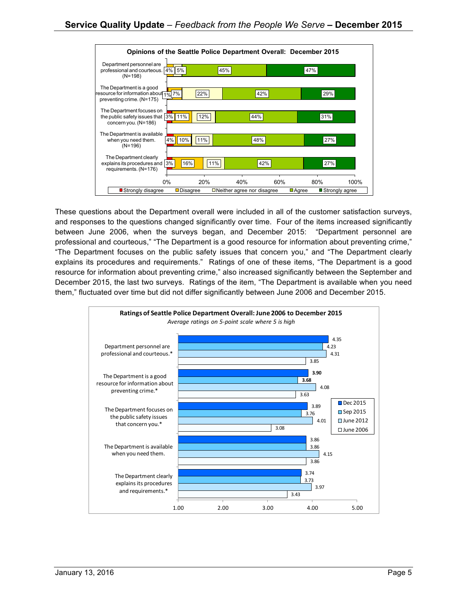

These questions about the Department overall were included in all of the customer satisfaction surveys, and responses to the questions changed significantly over time. Four of the items increased significantly between June 2006, when the surveys began, and December 2015: "Department personnel are professional and courteous," "The Department is a good resource for information about preventing crime," "The Department focuses on the public safety issues that concern you," and "The Department clearly explains its procedures and requirements." Ratings of one of these items, "The Department is a good resource for information about preventing crime," also increased significantly between the September and December 2015, the last two surveys. Ratings of the item, "The Department is available when you need them," fluctuated over time but did not differ significantly between June 2006 and December 2015.

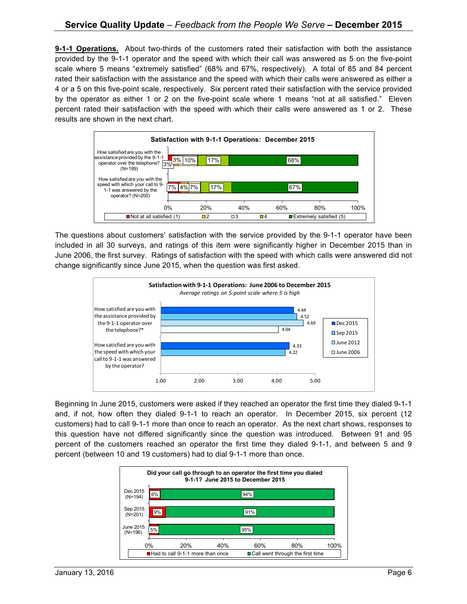**9-1-1 Operations.** About two-thirds of the customers rated their satisfaction with both the assistance provided by the 9-1-1 operator and the speed with which their call was answered as 5 on the five-point scale where 5 means "extremely satisfied" (68% and 67%, respectively). A total of 85 and 84 percent rated their satisfaction with the assistance and the speed with which their calls were answered as either a 4 or a 5 on this five-point scale, respectively. Six percent rated their satisfaction with the service provided by the operator as either 1 or 2 on the five-point scale where 1 means "not at all satisfied." Eleven percent rated their satisfaction with the speed with which their calls were answered as 1 or 2. These results are shown in the next chart.



The questions about customers' satisfaction with the service provided by the 9-1-1 operator have been included in all 30 surveys, and ratings of this item were significantly higher in December 2015 than in June 2006, the first survey. Ratings of satisfaction with the speed with which calls were answered did not change significantly since June 2015, when the question was first asked.



Beginning In June 2015, customers were asked if they reached an operator the first time they dialed 9-1-1 and, if not, how often they dialed 9-1-1 to reach an operator. In December 2015, six percent (12 customers) had to call 9-1-1 more than once to reach an operator. As the next chart shows, responses to this question have not differed significantly since the question was introduced. Between 91 and 95 percent of the customers reached an operator the first time they dialed 9-1-1, and between 5 and 9 percent (between 10 and 19 customers) had to dial 9-1-1 more than once.

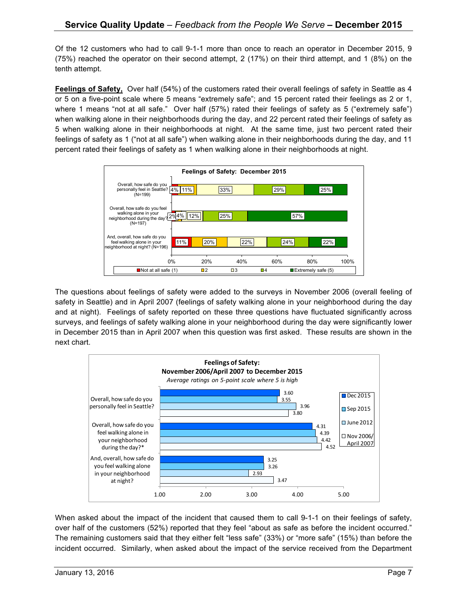Of the 12 customers who had to call 9-1-1 more than once to reach an operator in December 2015, 9 (75%) reached the operator on their second attempt, 2 (17%) on their third attempt, and 1 (8%) on the tenth attempt.

**Feelings of Safety,** Over half (54%) of the customers rated their overall feelings of safety in Seattle as 4 or 5 on a five-point scale where 5 means "extremely safe"; and 15 percent rated their feelings as 2 or 1, where 1 means "not at all safe." Over half (57%) rated their feelings of safety as 5 ("extremely safe") when walking alone in their neighborhoods during the day, and 22 percent rated their feelings of safety as 5 when walking alone in their neighborhoods at night. At the same time, just two percent rated their feelings of safety as 1 ("not at all safe") when walking alone in their neighborhoods during the day, and 11 percent rated their feelings of safety as 1 when walking alone in their neighborhoods at night.



The questions about feelings of safety were added to the surveys in November 2006 (overall feeling of safety in Seattle) and in April 2007 (feelings of safety walking alone in your neighborhood during the day and at night). Feelings of safety reported on these three questions have fluctuated significantly across surveys, and feelings of safety walking alone in your neighborhood during the day were significantly lower in December 2015 than in April 2007 when this question was first asked. These results are shown in the next chart.



When asked about the impact of the incident that caused them to call 9-1-1 on their feelings of safety, over half of the customers (52%) reported that they feel "about as safe as before the incident occurred." The remaining customers said that they either felt "less safe" (33%) or "more safe" (15%) than before the incident occurred. Similarly, when asked about the impact of the service received from the Department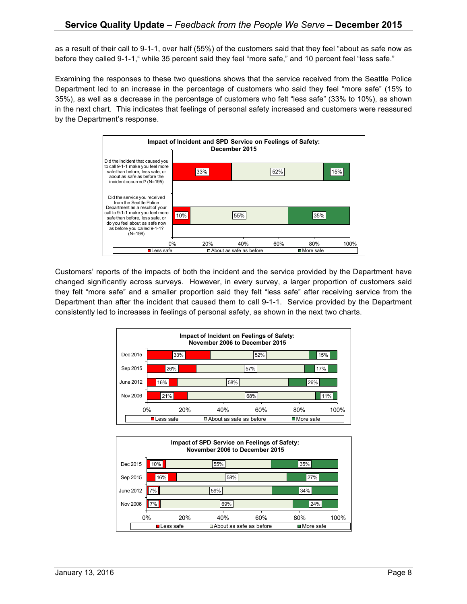as a result of their call to 9-1-1, over half (55%) of the customers said that they feel "about as safe now as before they called 9-1-1," while 35 percent said they feel "more safe," and 10 percent feel "less safe."

Examining the responses to these two questions shows that the service received from the Seattle Police Department led to an increase in the percentage of customers who said they feel "more safe" (15% to 35%), as well as a decrease in the percentage of customers who felt "less safe" (33% to 10%), as shown in the next chart. This indicates that feelings of personal safety increased and customers were reassured by the Department's response.



Customers' reports of the impacts of both the incident and the service provided by the Department have changed significantly across surveys. However, in every survey, a larger proportion of customers said they felt "more safe" and a smaller proportion said they felt "less safe" after receiving service from the Department than after the incident that caused them to call 9-1-1. Service provided by the Department consistently led to increases in feelings of personal safety, as shown in the next two charts.